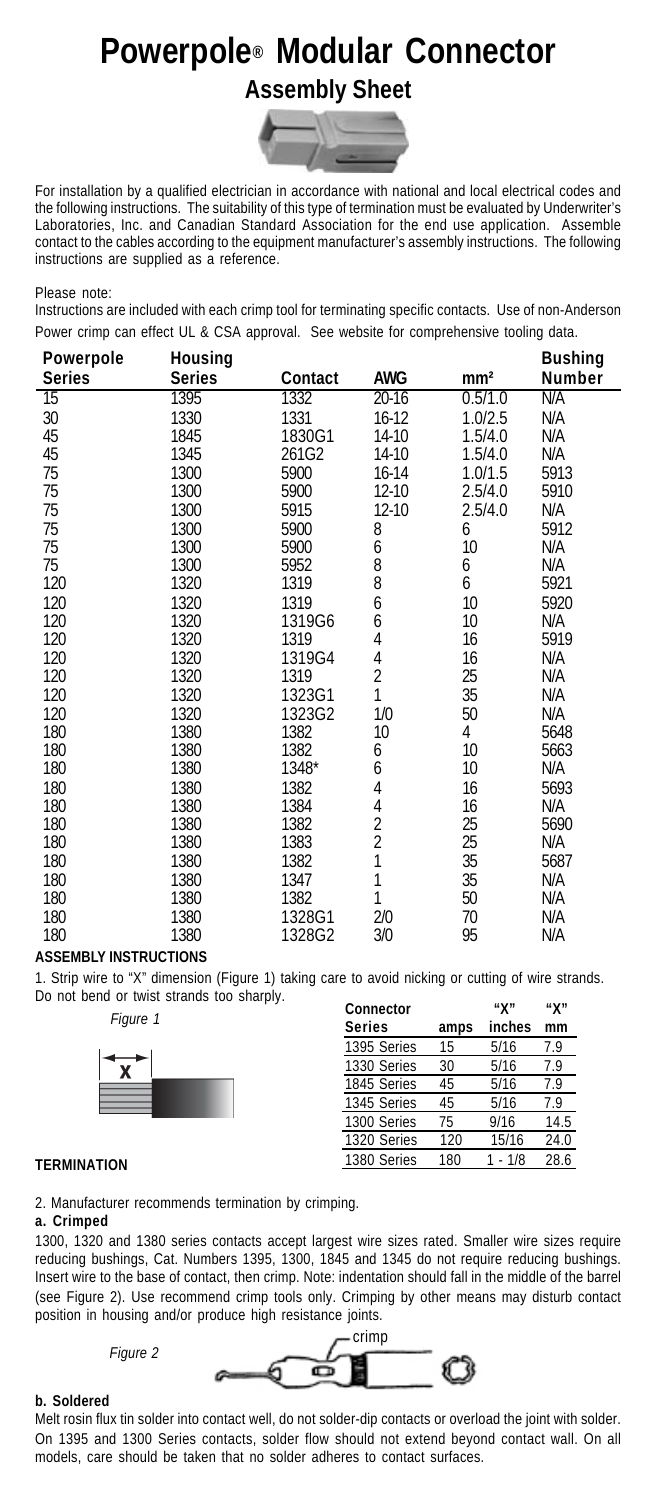# **Powerpole® Modular Connector Assembly Sheet**



For installation by a qualified electrician in accordance with national and local electrical codes and the following instructions. The suitability of this type of termination must be evaluated by Underwriter's Laboratories, Inc. and Canadian Standard Association for the end use application. Assemble contact to the cables according to the equipment manufacturer's assembly instructions. The following instructions are supplied as a reference.

Please note:

Instructions are included with each crimp tool for terminating specific contacts. Use of non-Anderson Power crimp can effect UL & CSA approval. See website for comprehensive tooling data.

| Powerpole     | Housing       |         |                     |                 | <b>Bushing</b> |  |
|---------------|---------------|---------|---------------------|-----------------|----------------|--|
| <b>Series</b> | <b>Series</b> | Contact | <b>AWG</b>          | mm <sup>2</sup> | Number         |  |
| 15            | 1395          | 1332    | $20 - 16$           | 0.5/1.0         | N/A            |  |
| 30            | 1330          | 1331    | $16-12$             | 1.0/2.5         | N/A            |  |
| 45            | 1845          | 1830G1  | 14-10               | 1.5/4.0         | N/A            |  |
| 45            | 1345          | 261G2   | 14-10               | 1.5/4.0         | N/A            |  |
| 75            | 1300          | 5900    | 16-14               | 1.0/1.5         | 5913           |  |
| 75            | 1300          | 5900    | 12-10               | 2.5/4.0         | 5910           |  |
| 75            | 1300          | 5915    | 12-10               | 2.5/4.0         | N/A            |  |
| 75            | 1300          | 5900    | 8                   | 6               | 5912           |  |
| 75            | 1300          | 5900    | 6                   | 10              | N/A            |  |
| 75            | 1300          | 5952    | 8                   | 6               | N/A            |  |
| 120           | 1320          | 1319    | 8                   | 6               | 5921           |  |
| 120           | 1320          | 1319    | 6                   | 10 <sup>°</sup> | 5920           |  |
| 120           | 1320          | 1319G6  | 6                   | 10              | N/A            |  |
| 120           | 1320          | 1319    | $\overline{4}$      | 16              | 5919           |  |
| 120           | 1320          | 1319G4  | 4                   | 16              | N/A            |  |
| 120           | 1320          | 1319    | $\overline{2}$      | 25              | N/A            |  |
| 120           | 1320          | 1323G1  | 1                   | 35              | N/A            |  |
| 120           | 1320          | 1323G2  | 1/0                 | 50              | N/A            |  |
| 180           | 1380          | 1382    | 10                  | 4               | 5648           |  |
| 180           | 1380          | 1382    | 6                   | 10              | 5663           |  |
| 180           | 1380          | 1348*   | 6                   | 10              | N/A            |  |
| 180           | 1380          | 1382    | 4                   | 16              | 5693           |  |
| 180           | 1380          | 1384    | 4                   | 16              | N/A            |  |
| 180           | 1380          | 1382    | $\overline{2}$      | 25              | 5690           |  |
| 180           | 1380          | 1383    | $\overline{2}$<br>1 | 25              | N/A            |  |
| 180           | 1380          | 1382    |                     | 35              | 5687           |  |
| 180           | 1380          | 1347    | 1                   | 35              | N/A            |  |
| 180           | 1380          | 1382    | 1                   | 50              | N/A            |  |
| 180           | 1380          | 1328G1  | 2/0                 | 70              | N/A            |  |
| 180           | 1380          | 1328G2  | 3/0                 | 95              | N/A            |  |

#### **ASSEMBLY INSTRUCTIONS**

1. Strip wire to "X" dimension (Figure 1) taking care to avoid nicking or cutting of wire strands. Do not bend or twist strands too sharply.

*Figure 1*



| Connector<br><b>Series</b> | amps | "X"<br>inches | "X"<br>mm |
|----------------------------|------|---------------|-----------|
| 1395 Series                | 15   | 5/16          | 7.9       |
| 1330 Series                | 30   | 5/16          | 7.9       |
| 1845 Series                | 45   | 5/16          | 7.9       |
| 1345 Series                | 45   | 5/16          | 7.9       |
| 1300 Series                | 75   | 9/16          | 14.5      |
| 1320 Series                | 120  | 15/16         | 24.0      |
| 1380 Series                | 180  | $1 - 1/8$     | 28.6      |

### **TERMINATION**

2. Manufacturer recommends termination by crimping.

## **a. Crimped**

1300, 1320 and 1380 series contacts accept largest wire sizes rated. Smaller wire sizes require reducing bushings, Cat. Numbers 1395, 1300, 1845 and 1345 do not require reducing bushings. Insert wire to the base of contact, then crimp. Note: indentation should fall in the middle of the barrel (see Figure 2). Use recommend crimp tools only. Crimping by other means may disturb contact position in housing and/or produce high resistance joints.

*Figure 2*



## **b. Soldered**

Melt rosin flux tin solder into contact well, do not solder-dip contacts or overload the joint with solder. On 1395 and 1300 Series contacts, solder flow should not extend beyond contact wall. On all models, care should be taken that no solder adheres to contact surfaces.